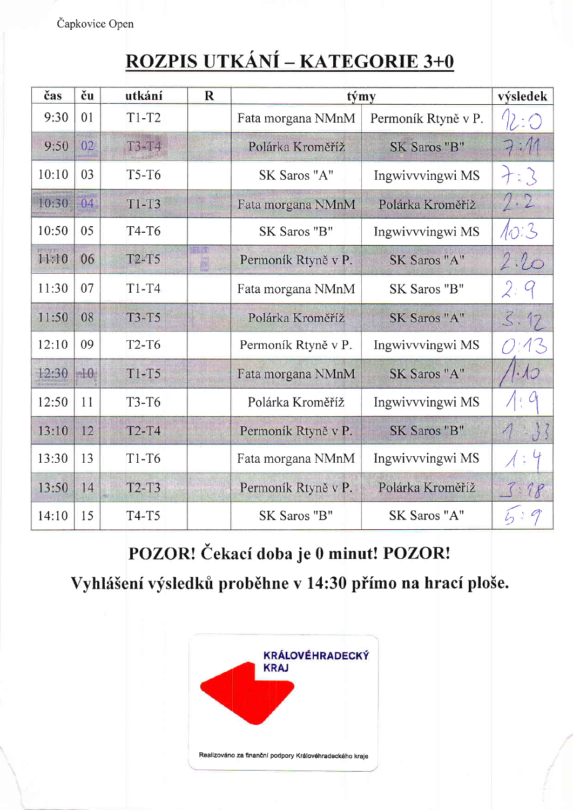Čapkovice Open

## ROZPIS UTKÁNÍ – KATEGORIE 3+0

| čas   | ču    | utkání       | $\mathbf R$ | týmy                                     | výsledek            |                 |
|-------|-------|--------------|-------------|------------------------------------------|---------------------|-----------------|
| 9:30  | 01    | $T1-T2$      |             | Fata morgana NMnM<br>Permoník Rtyně v P. |                     |                 |
| 9:50  | 02    | T3-T4        |             | Polárka Kroměříž                         | SK Saros "B"        |                 |
| 10:10 | 03    | $T5-T6$      |             | SK Saros "A"                             | Ingwivvvingwi MS    | $+i3$           |
| 10:30 | 04    | $T1-T3$      |             | Fata morgana NMnM                        | Polárka Kroměříž    | 2:2             |
| 10:50 | 05    | T4-T6        |             | SK Saros "B"                             | Ingwivvvingwi MS    | 10:3            |
| 11:10 | 06    | <b>T2-T5</b> |             | Permoník Rtyně v P.                      | <b>SK Saros "A"</b> | 2:20            |
| 11:30 | 07    | $T1-T4$      |             | Fata morgana NMnM                        | SK Saros "B"        |                 |
| 11:50 | 08    | $T3-T5$      |             | Polárka Kroměříž                         | SK Saros "A"        | 5.17            |
| 12:10 | 09    | <b>T2-T6</b> |             | Permoník Rtyně v P.                      | Ingwivvvingwi MS    |                 |
| 12:30 | $-10$ | $T1-T5$      |             | Fata morgana NMnM                        | SK Saros "A"        |                 |
| 12:50 | 11    | <b>T3-T6</b> |             | Polárka Kroměříž                         | Ingwivvvingwi MS    |                 |
| 13:10 | 12    | $T2-T4$      |             | Permoník Rtyně v P.                      | SK Saros "B"        | $\vert 3 \vert$ |
| 13:30 | 13    | $T1-T6$      |             | Fata morgana NMnM                        | Ingwivvvingwi MS    |                 |
| 13:50 | 14    | $T2-T3$      |             | Permoník Rtyně v P.                      | Polárka Kroměříž    | .78             |
| 14:10 | 15    | T4-T5        |             | SK Saros "B"                             | SK Saros "A"        |                 |

POZOR! Čekací doba je 0 minut! POZOR!

Vyhlášení výsledků proběhne v 14:30 přímo na hrací ploše.